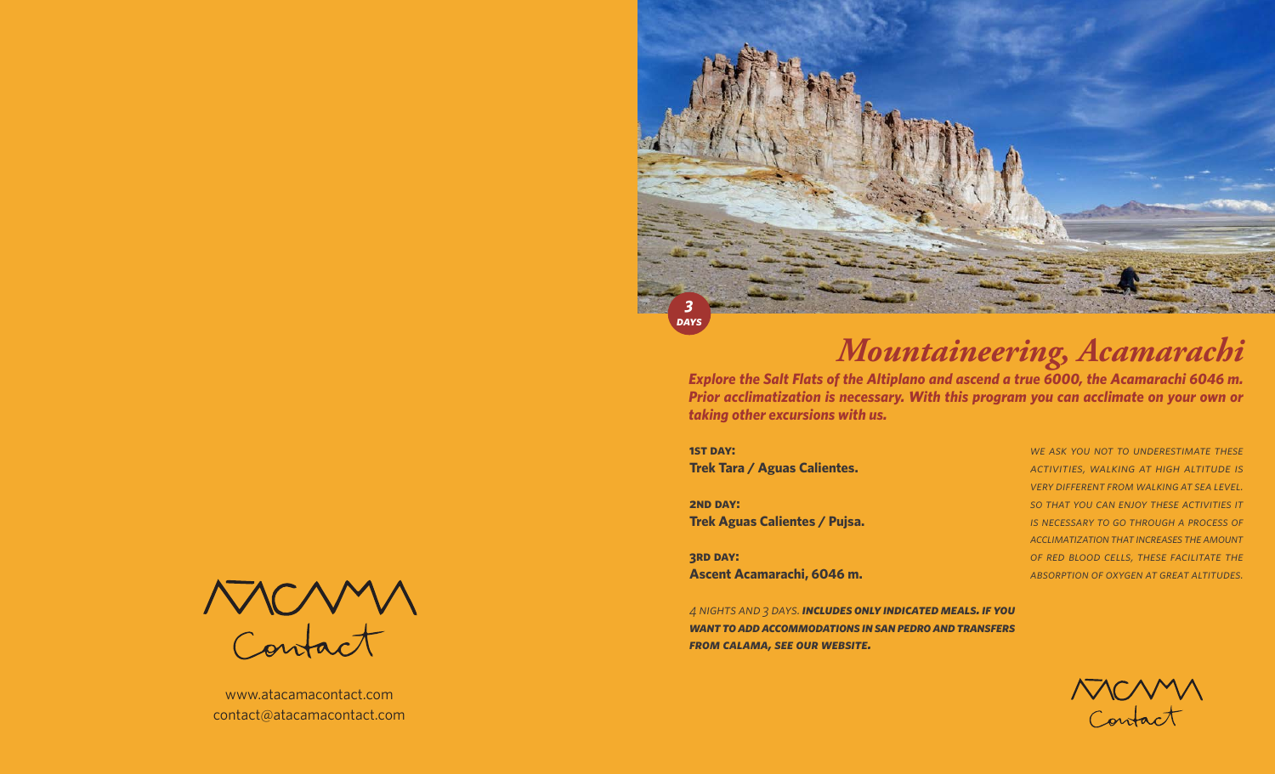

# *Mountaineering, Acamarachi*

*Explore the Salt Flats of the Altiplano and ascend a true 6000, the Acamarachi 6046 m. Prior acclimatization is necessary. With this program you can acclimate on your own or taking other excursions with us.* 

**1ST DAY: Trek Tara / Aguas Calientes.**

**2ND DAY: Trek Aguas Calientes / Pujsa.**

**3rd day: Ascent Acamarachi, 6046 m.** *we ask you not to underestimate these activities, walking at high altitude is very different from walking at sea level. so that you can enjoy these activities it is necessary to go through a process of acclimatization that increases the amount of red blood cells, these facilitate the absorption of oxygen at great altitudes.*

*4 nights and 3 days. includes only indicated meals. if you want to add accommodations in san pedro and transfers from calama, see our website.*



www.atacamacontact.com contact@atacamacontact.com

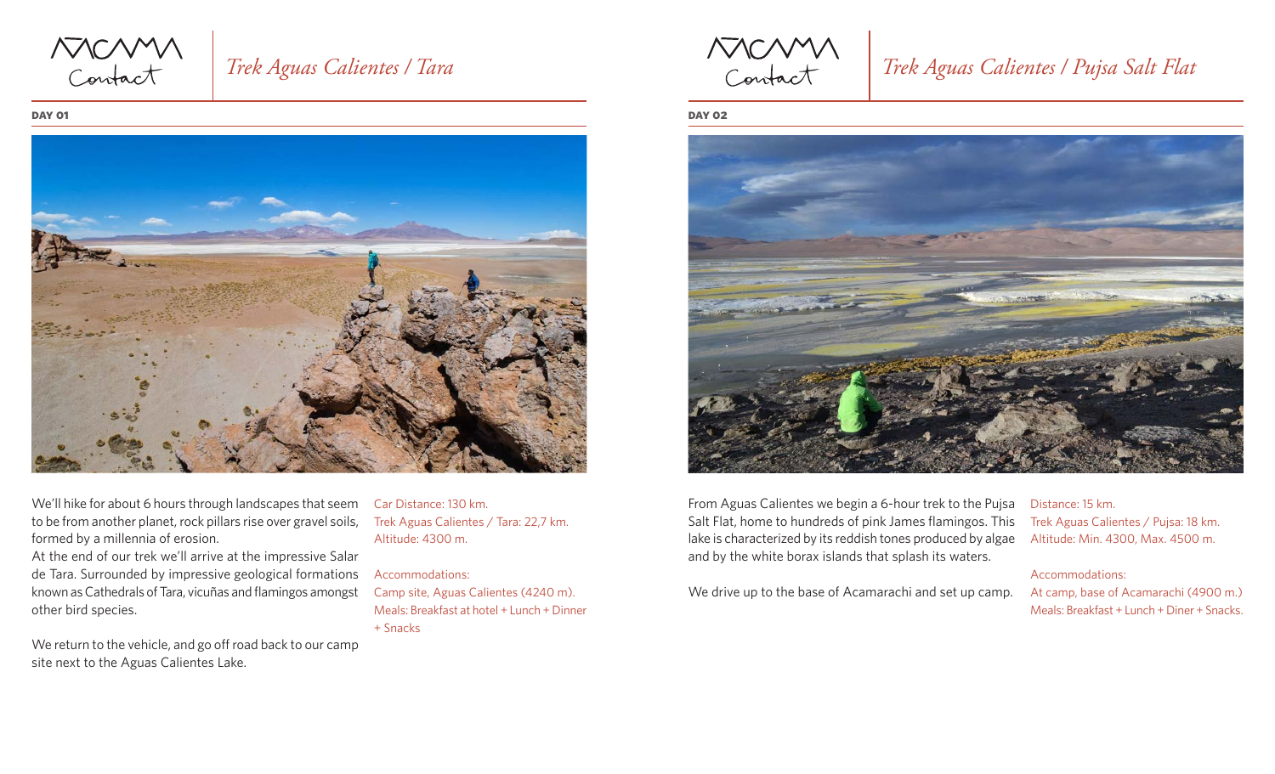MCMM

## *Trek Aguas Calientes / Tara*

#### **day 01**



We'll hike for about 6 hours through landscapes that seem to be from another planet, rock pillars rise over gravel soils, formed by a millennia of erosion.

At the end of our trek we'll arrive at the impressive Salar de Tara. Surrounded by impressive geological formations known as Cathedrals of Tara, vicuñas and flamingos amongst other bird species.

We return to the vehicle, and go off road back to our camp site next to the Aguas Calientes Lake.

Car Distance: 130 km. Trek Aguas Calientes / Tara: 22,7 km. Altitude: 4300 m.

#### Accommodations:

Camp site, Aguas Calientes (4240 m). Meals: Breakfast at hotel + Lunch + Dinner + Snacks

NOMM

## *Trek Aguas Calientes / Pujsa Salt Flat*

**day 02**



From Aguas Calientes we begin a 6-hour trek to the Pujsa Salt Flat, home to hundreds of pink James flamingos. This lake is characterized by its reddish tones produced by algae and by the white borax islands that splash its waters.

We drive up to the base of Acamarachi and set up camp.

## Distance: 15 km. Trek Aguas Calientes / Pujsa: 18 km.

Altitude: Min. 4300, Max. 4500 m.

#### Accommodations:

At camp, base of Acamarachi (4900 m.) Meals: Breakfast + Lunch + Diner + Snacks.